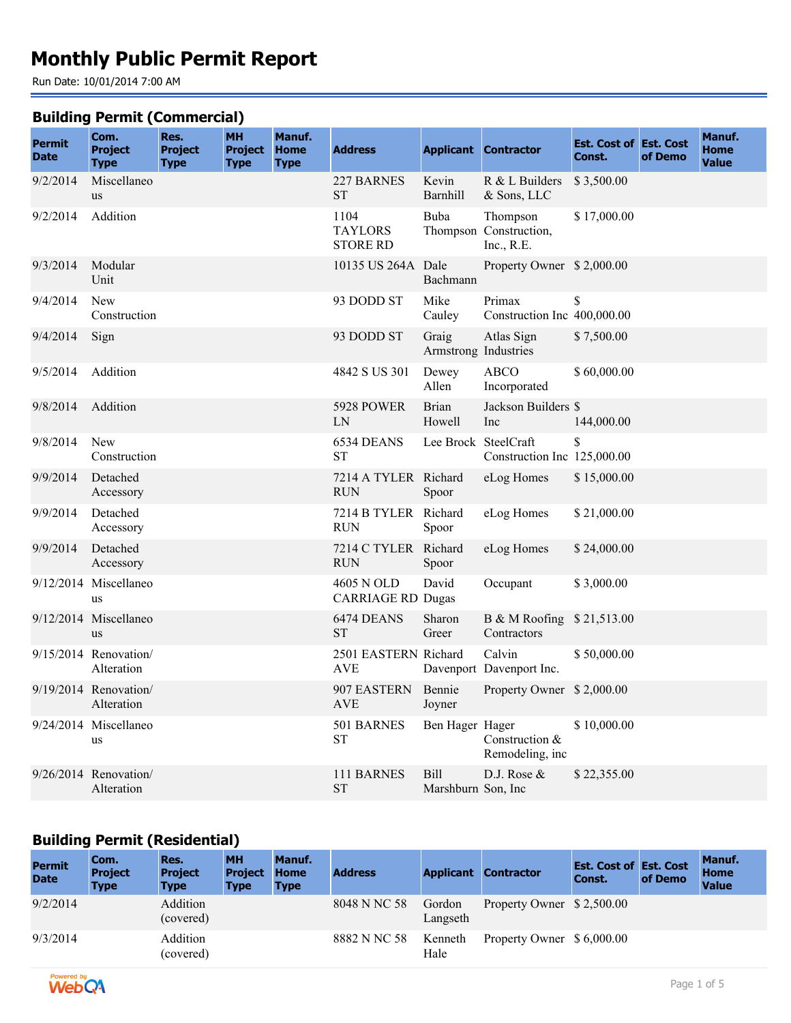# **Monthly Public Permit Report**

Run Date: 10/01/2014 7:00 AM

#### **Building Permit (Commercial)**

| <b>Permit</b><br><b>Date</b> | <br>Com.<br><b>Project</b><br><b>Type</b> | Res.<br><b>Project</b><br><b>Type</b> | <b>MH</b><br><b>Project</b><br><b>Type</b> | <b>Manuf.</b><br><b>Home</b><br><b>Type</b> | <b>Address</b>                            |                                   | <b>Applicant Contractor</b>                      | <b>Est. Cost of Est. Cost</b><br>Const. | of Demo | Manuf.<br>Home<br><b>Value</b> |
|------------------------------|-------------------------------------------|---------------------------------------|--------------------------------------------|---------------------------------------------|-------------------------------------------|-----------------------------------|--------------------------------------------------|-----------------------------------------|---------|--------------------------------|
| 9/2/2014                     | Miscellaneo<br><b>us</b>                  |                                       |                                            |                                             | 227 BARNES<br><b>ST</b>                   | Kevin<br>Barnhill                 | $R & L$ Builders<br>& Sons, LLC                  | \$3,500.00                              |         |                                |
| 9/2/2014                     | Addition                                  |                                       |                                            |                                             | 1104<br><b>TAYLORS</b><br><b>STORE RD</b> | Buba                              | Thompson<br>Thompson Construction,<br>Inc., R.E. | \$17,000.00                             |         |                                |
| 9/3/2014                     | Modular<br>Unit                           |                                       |                                            |                                             | 10135 US 264A Dale                        | Bachmann                          | Property Owner \$2,000.00                        |                                         |         |                                |
| 9/4/2014                     | <b>New</b><br>Construction                |                                       |                                            |                                             | 93 DODD ST                                | Mike<br>Cauley                    | Primax<br>Construction Inc 400,000.00            | \$                                      |         |                                |
| 9/4/2014                     | Sign                                      |                                       |                                            |                                             | 93 DODD ST                                | Graig<br>Armstrong Industries     | Atlas Sign                                       | \$7,500.00                              |         |                                |
| 9/5/2014                     | Addition                                  |                                       |                                            |                                             | 4842 S US 301                             | Dewey<br>Allen                    | <b>ABCO</b><br>Incorporated                      | \$60,000.00                             |         |                                |
| 9/8/2014                     | Addition                                  |                                       |                                            |                                             | 5928 POWER<br>LN                          | <b>Brian</b><br>Howell            | Jackson Builders \$<br>Inc                       | 144,000.00                              |         |                                |
| 9/8/2014                     | New<br>Construction                       |                                       |                                            |                                             | 6534 DEANS<br><b>ST</b>                   | Lee Brock SteelCraft              | Construction Inc 125,000.00                      |                                         |         |                                |
| 9/9/2014                     | Detached<br>Accessory                     |                                       |                                            |                                             | 7214 A TYLER Richard<br><b>RUN</b>        | Spoor                             | eLog Homes                                       | \$15,000.00                             |         |                                |
| 9/9/2014                     | Detached<br>Accessory                     |                                       |                                            |                                             | 7214 B TYLER Richard<br><b>RUN</b>        | Spoor                             | eLog Homes                                       | \$21,000.00                             |         |                                |
| 9/9/2014                     | Detached<br>Accessory                     |                                       |                                            |                                             | 7214 C TYLER Richard<br><b>RUN</b>        | Spoor                             | eLog Homes                                       | \$24,000.00                             |         |                                |
|                              | 9/12/2014 Miscellaneo<br>us               |                                       |                                            |                                             | 4605 N OLD<br><b>CARRIAGE RD Dugas</b>    | David                             | Occupant                                         | \$3,000.00                              |         |                                |
|                              | 9/12/2014 Miscellaneo<br><b>us</b>        |                                       |                                            |                                             | 6474 DEANS<br><b>ST</b>                   | Sharon<br>Greer                   | B & M Roofing \$21,513.00<br>Contractors         |                                         |         |                                |
|                              | 9/15/2014 Renovation/<br>Alteration       |                                       |                                            |                                             | 2501 EASTERN Richard<br><b>AVE</b>        |                                   | Calvin<br>Davenport Davenport Inc.               | \$50,000.00                             |         |                                |
|                              | $9/19/2014$ Renovation/<br>Alteration     |                                       |                                            |                                             | 907 EASTERN Bennie<br><b>AVE</b>          | Joyner                            | Property Owner \$2,000.00                        |                                         |         |                                |
|                              | 9/24/2014 Miscellaneo<br>us               |                                       |                                            |                                             | 501 BARNES<br><b>ST</b>                   | Ben Hager Hager                   | Construction &<br>Remodeling, inc                | \$10,000.00                             |         |                                |
|                              | $9/26/2014$ Renovation/<br>Alteration     |                                       |                                            |                                             | 111 BARNES<br><b>ST</b>                   | <b>Bill</b><br>Marshburn Son, Inc | D.J. Rose &                                      | \$22,355.00                             |         |                                |

### **Building Permit (Residential)**

| <b>Permit</b><br><b>Date</b> | Com.<br><b>Project</b><br><b>Type</b> | Res.<br><b>Project</b><br><b>Type</b> | <b>MH</b><br><b>Project</b><br><b>Type</b> | Manuf.<br><b>Home</b><br><b>Type</b> | <b>Address</b> | <b>Applicant</b>   | <b>Contractor</b>         | <b>Est. Cost of Est. Cost</b><br>Const. | of Demo | Manuf.<br><b>Home</b><br><b>Value</b> |
|------------------------------|---------------------------------------|---------------------------------------|--------------------------------------------|--------------------------------------|----------------|--------------------|---------------------------|-----------------------------------------|---------|---------------------------------------|
| 9/2/2014                     |                                       | Addition<br>(covered)                 |                                            |                                      | 8048 N NC 58   | Gordon<br>Langseth | Property Owner \$2,500.00 |                                         |         |                                       |
| 9/3/2014                     |                                       | Addition<br>(covered)                 |                                            |                                      | 8882 N NC 58   | Kenneth<br>Hale    | Property Owner \$6,000.00 |                                         |         |                                       |

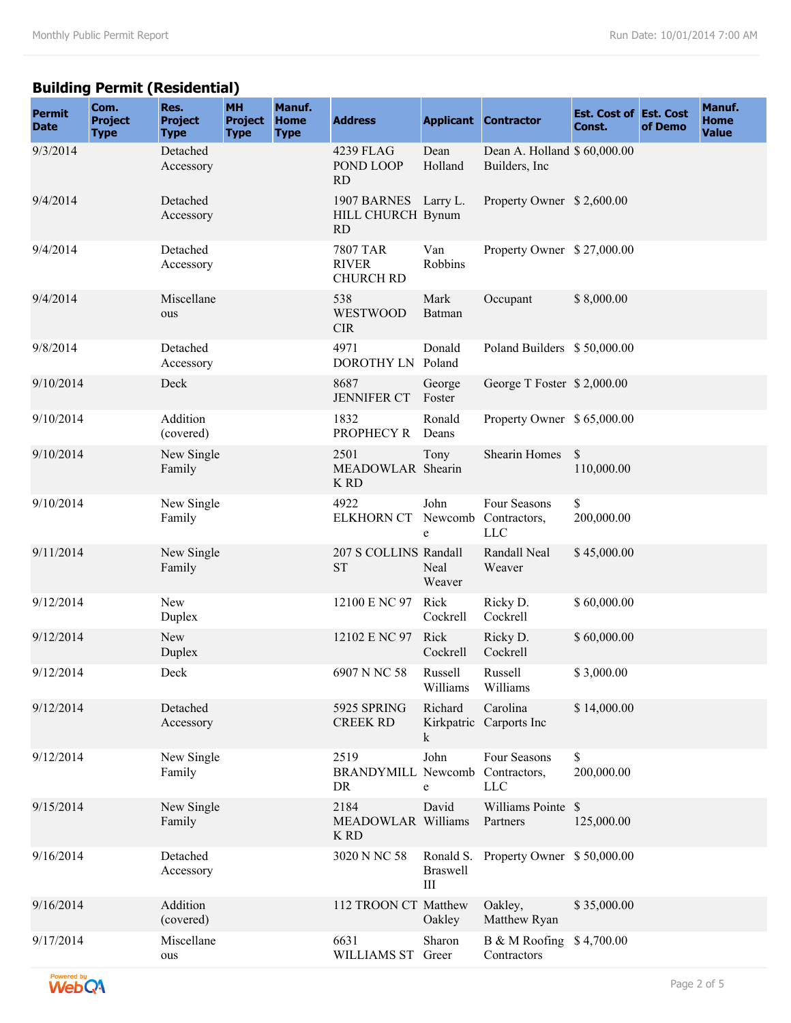# **Building Permit (Residential)**

| <b>Permit</b><br><b>Date</b> | Com.<br><b>Project</b><br><b>Type</b> | Res.<br><b>Project</b><br><b>Type</b> | <b>MH</b><br><b>Project</b><br><b>Type</b> | Manuf.<br><b>Home</b><br><b>Type</b> | <b>Address</b>                                      |                      | <b>Applicant Contractor</b>                    | <b>Est. Cost of Est. Cost</b><br>Const. | of Demo | Manuf.<br><b>Home</b><br><b>Value</b> |
|------------------------------|---------------------------------------|---------------------------------------|--------------------------------------------|--------------------------------------|-----------------------------------------------------|----------------------|------------------------------------------------|-----------------------------------------|---------|---------------------------------------|
| 9/3/2014                     |                                       | Detached<br>Accessory                 |                                            |                                      | 4239 FLAG<br>POND LOOP<br><b>RD</b>                 | Dean<br>Holland      | Dean A. Holland \$ 60,000.00<br>Builders, Inc. |                                         |         |                                       |
| 9/4/2014                     |                                       | Detached<br>Accessory                 |                                            |                                      | 1907 BARNES Larry L.<br>HILL CHURCH Bynum<br>RD     |                      | Property Owner \$2,600.00                      |                                         |         |                                       |
| 9/4/2014                     |                                       | Detached<br>Accessory                 |                                            |                                      | <b>7807 TAR</b><br><b>RIVER</b><br><b>CHURCH RD</b> | Van<br>Robbins       | Property Owner \$27,000.00                     |                                         |         |                                       |
| 9/4/2014                     |                                       | Miscellane<br>ous                     |                                            |                                      | 538<br><b>WESTWOOD</b><br><b>CIR</b>                | Mark<br>Batman       | Occupant                                       | \$8,000.00                              |         |                                       |
| 9/8/2014                     |                                       | Detached<br>Accessory                 |                                            |                                      | 4971<br>DOROTHY LN                                  | Donald<br>Poland     | Poland Builders \$50,000.00                    |                                         |         |                                       |
| 9/10/2014                    |                                       | Deck                                  |                                            |                                      | 8687<br><b>JENNIFER CT</b>                          | George<br>Foster     | George T Foster \$2,000.00                     |                                         |         |                                       |
| 9/10/2014                    |                                       | Addition<br>(covered)                 |                                            |                                      | 1832<br>PROPHECY R                                  | Ronald<br>Deans      | Property Owner \$ 65,000.00                    |                                         |         |                                       |
| 9/10/2014                    |                                       | New Single<br>Family                  |                                            |                                      | 2501<br>MEADOWLAR Shearin<br><b>K RD</b>            | Tony                 | Shearin Homes                                  | <sup>\$</sup><br>110,000.00             |         |                                       |
| 9/10/2014                    |                                       | New Single<br>Family                  |                                            |                                      | 4922<br><b>ELKHORN CT</b>                           | John<br>Newcomb<br>e | Four Seasons<br>Contractors,<br><b>LLC</b>     | \$<br>200,000.00                        |         |                                       |
| 9/11/2014                    |                                       | New Single<br>Family                  |                                            |                                      | 207 S COLLINS Randall<br><b>ST</b>                  | Neal<br>Weaver       | Randall Neal<br>Weaver                         | \$45,000.00                             |         |                                       |
| 9/12/2014                    |                                       | New<br>Duplex                         |                                            |                                      | 12100 E NC 97                                       | Rick<br>Cockrell     | Ricky D.<br>Cockrell                           | \$60,000.00                             |         |                                       |
| 9/12/2014                    |                                       | <b>New</b><br>Duplex                  |                                            |                                      | 12102 E NC 97                                       | Rick<br>Cockrell     | Ricky D.<br>Cockrell                           | \$60,000.00                             |         |                                       |
| 9/12/2014                    |                                       | Deck                                  |                                            |                                      | 6907 N NC 58                                        | Russell<br>Williams  | Russell<br>Williams                            | \$3,000.00                              |         |                                       |
| 9/12/2014                    |                                       | Detached<br>Accessory                 |                                            |                                      | 5925 SPRING<br><b>CREEK RD</b>                      | Richard<br>k         | Carolina<br>Kirkpatric Carports Inc            | \$14,000.00                             |         |                                       |
| 9/12/2014                    |                                       | New Single<br>Family                  |                                            |                                      | 2519<br><b>BRANDYMILL Newcomb</b><br>DR             | John<br>e            | Four Seasons<br>Contractors,<br><b>LLC</b>     | \$<br>200,000.00                        |         |                                       |
| 9/15/2014                    |                                       | New Single<br>Family                  |                                            |                                      | 2184<br>MEADOWLAR Williams<br><b>K RD</b>           | David                | Williams Pointe \$<br>Partners                 | 125,000.00                              |         |                                       |
| 9/16/2014                    |                                       | Detached<br>Accessory                 |                                            |                                      | 3020 N NC 58                                        | <b>Braswell</b><br>Ш | Ronald S. Property Owner \$50,000.00           |                                         |         |                                       |
| 9/16/2014                    |                                       | Addition<br>(covered)                 |                                            |                                      | 112 TROON CT Matthew                                | Oakley               | Oakley,<br>Matthew Ryan                        | \$35,000.00                             |         |                                       |
| 9/17/2014                    |                                       | Miscellane<br>ous                     |                                            |                                      | 6631<br>WILLIAMS ST Greer                           | Sharon               | B & M Roofing \$4,700.00<br>Contractors        |                                         |         |                                       |

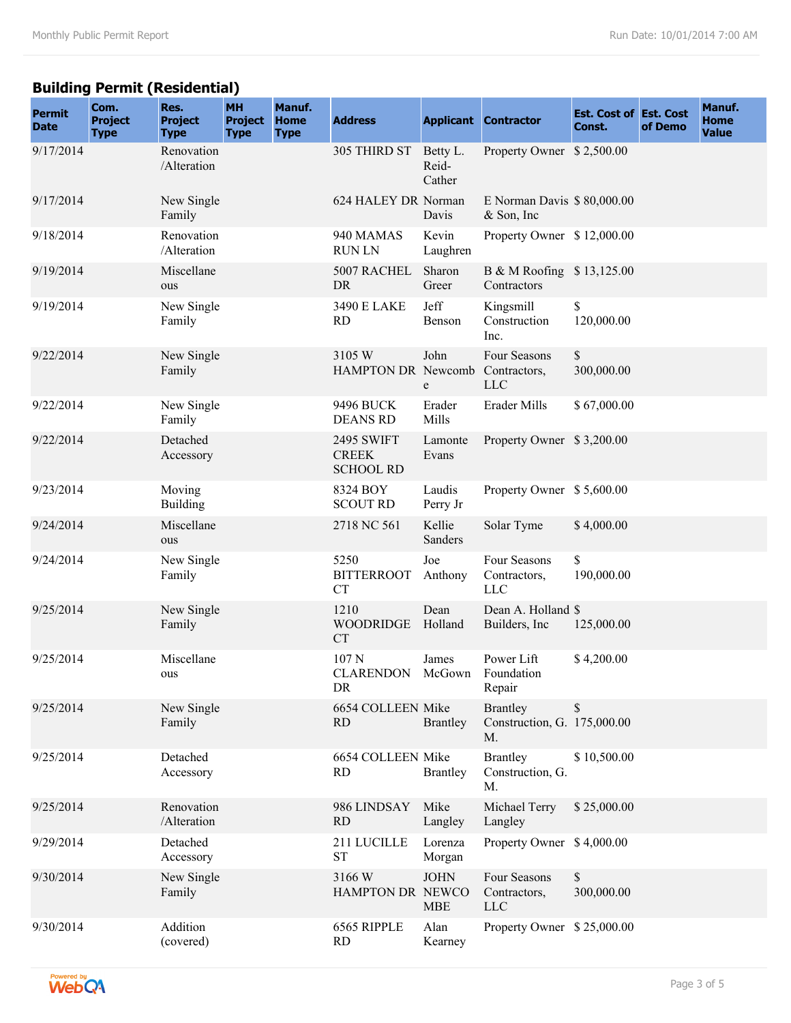# **Building Permit (Residential)**

| <b>Permit</b><br><b>Date</b> | Com.<br><b>Project</b><br><b>Type</b> | Res.<br><b>Project</b><br><b>Type</b> | <b>MH</b><br><b>Project</b><br><b>Type</b> | Manuf.<br><b>Home</b><br><b>Type</b> | <b>Address</b>                                        |                             | <b>Applicant Contractor</b>                          | <b>Est. Cost of Est. Cost</b><br>Const. | of Demo | Manuf.<br><b>Home</b><br><b>Value</b> |
|------------------------------|---------------------------------------|---------------------------------------|--------------------------------------------|--------------------------------------|-------------------------------------------------------|-----------------------------|------------------------------------------------------|-----------------------------------------|---------|---------------------------------------|
| 9/17/2014                    |                                       | Renovation<br>/Alteration             |                                            |                                      | 305 THIRD ST                                          | Betty L.<br>Reid-<br>Cather | Property Owner \$2,500.00                            |                                         |         |                                       |
| 9/17/2014                    |                                       | New Single<br>Family                  |                                            |                                      | 624 HALEY DR Norman                                   | Davis                       | E Norman Davis \$80,000.00<br>& Son, Inc.            |                                         |         |                                       |
| 9/18/2014                    |                                       | Renovation<br>/Alteration             |                                            |                                      | 940 MAMAS<br><b>RUNLN</b>                             | Kevin<br>Laughren           | Property Owner \$12,000.00                           |                                         |         |                                       |
| 9/19/2014                    |                                       | Miscellane<br>ous                     |                                            |                                      | 5007 RACHEL<br>DR                                     | Sharon<br>Greer             | B & M Roofing \$13,125.00<br>Contractors             |                                         |         |                                       |
| 9/19/2014                    |                                       | New Single<br>Family                  |                                            |                                      | 3490 E LAKE<br><b>RD</b>                              | Jeff<br>Benson              | Kingsmill<br>Construction<br>Inc.                    | \$<br>120,000.00                        |         |                                       |
| 9/22/2014                    |                                       | New Single<br>Family                  |                                            |                                      | 3105 W<br>HAMPTON DR Newcomb Contractors,             | John<br>e                   | Four Seasons<br><b>LLC</b>                           | \$<br>300,000.00                        |         |                                       |
| 9/22/2014                    |                                       | New Single<br>Family                  |                                            |                                      | 9496 BUCK<br><b>DEANS RD</b>                          | Erader<br>Mills             | Erader Mills                                         | \$67,000.00                             |         |                                       |
| 9/22/2014                    |                                       | Detached<br>Accessory                 |                                            |                                      | <b>2495 SWIFT</b><br><b>CREEK</b><br><b>SCHOOL RD</b> | Lamonte<br>Evans            | Property Owner \$3,200.00                            |                                         |         |                                       |
| 9/23/2014                    |                                       | Moving<br><b>Building</b>             |                                            |                                      | 8324 BOY<br><b>SCOUT RD</b>                           | Laudis<br>Perry Jr          | Property Owner \$5,600.00                            |                                         |         |                                       |
| 9/24/2014                    |                                       | Miscellane<br>ous                     |                                            |                                      | 2718 NC 561                                           | Kellie<br>Sanders           | Solar Tyme                                           | \$4,000.00                              |         |                                       |
| 9/24/2014                    |                                       | New Single<br>Family                  |                                            |                                      | 5250<br><b>BITTERROOT</b><br><b>CT</b>                | Joe<br>Anthony              | Four Seasons<br>Contractors,<br><b>LLC</b>           | \$<br>190,000.00                        |         |                                       |
| 9/25/2014                    |                                       | New Single<br>Family                  |                                            |                                      | 1210<br><b>WOODRIDGE</b><br>CT                        | Dean<br>Holland             | Dean A. Holland \$<br>Builders, Inc.                 | 125,000.00                              |         |                                       |
| 9/25/2014                    |                                       | Miscellane<br>ous                     |                                            |                                      | 107 <sub>N</sub><br><b>CLARENDON</b><br>DR            | James<br>McGown             | Power Lift<br>Foundation<br>Repair                   | \$4,200.00                              |         |                                       |
| 9/25/2014                    |                                       | New Single<br>Family                  |                                            |                                      | 6654 COLLEEN Mike<br>RD                               | Brantley                    | <b>Brantley</b><br>Construction, G. 175,000.00<br>M. | \$                                      |         |                                       |
| 9/25/2014                    |                                       | Detached<br>Accessory                 |                                            |                                      | 6654 COLLEEN Mike<br><b>RD</b>                        | <b>Brantley</b>             | <b>Brantley</b><br>Construction, G.<br>M.            | \$10,500.00                             |         |                                       |
| 9/25/2014                    |                                       | Renovation<br>/Alteration             |                                            |                                      | 986 LINDSAY<br><b>RD</b>                              | Mike<br>Langley             | Michael Terry<br>Langley                             | \$25,000.00                             |         |                                       |
| 9/29/2014                    |                                       | Detached<br>Accessory                 |                                            |                                      | 211 LUCILLE<br><b>ST</b>                              | Lorenza<br>Morgan           | Property Owner \$4,000.00                            |                                         |         |                                       |
| 9/30/2014                    |                                       | New Single<br>Family                  |                                            |                                      | 3166 W<br>HAMPTON DR NEWCO                            | <b>JOHN</b><br><b>MBE</b>   | Four Seasons<br>Contractors,<br><b>LLC</b>           | \$<br>300,000.00                        |         |                                       |
| 9/30/2014                    |                                       | Addition<br>(covered)                 |                                            |                                      | 6565 RIPPLE<br>RD                                     | Alan<br>Kearney             | Property Owner \$25,000.00                           |                                         |         |                                       |

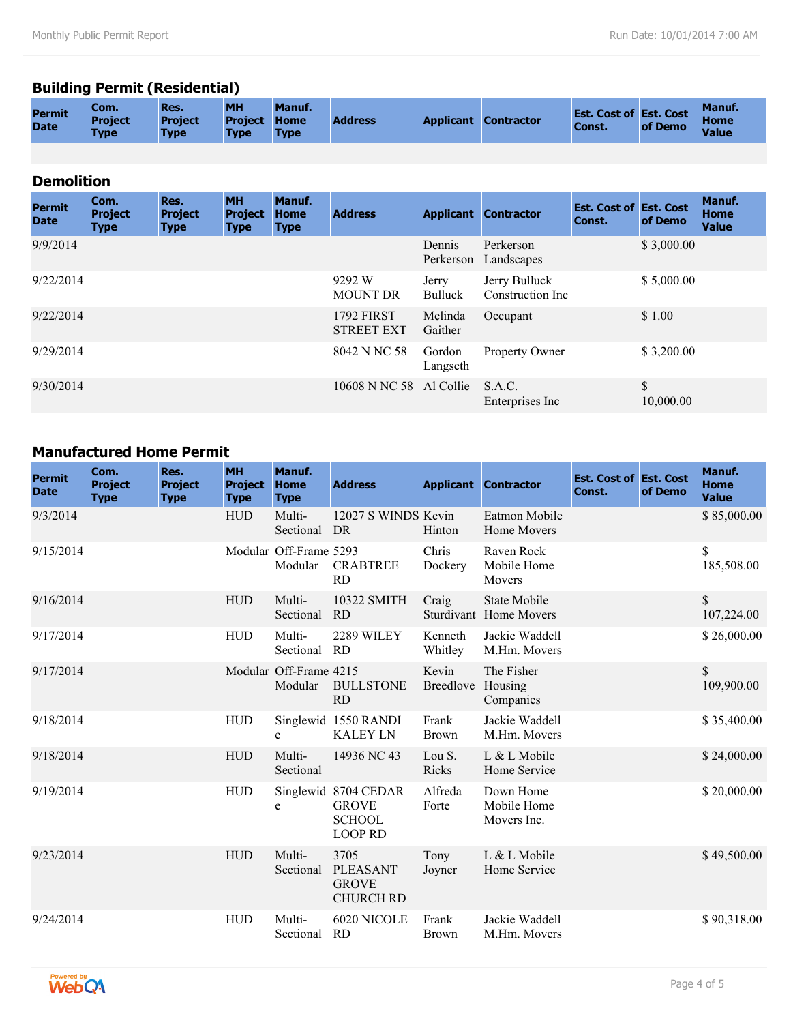# **Building Permit (Residential)**

| <b>Home</b><br><b>Address</b><br><b>Project</b><br><b>Applicant Contractor</b><br><b>Project</b><br><b>Project Home</b><br>Const.<br><b>Date</b><br>of Demo<br><b>Value</b><br><b>Type</b><br><b>Type</b><br><b>Type</b><br><b>Type</b> | Com.<br><b>Permit</b> |
|-----------------------------------------------------------------------------------------------------------------------------------------------------------------------------------------------------------------------------------------|-----------------------|
|-----------------------------------------------------------------------------------------------------------------------------------------------------------------------------------------------------------------------------------------|-----------------------|

#### **Demolition**

| <b>Permit</b><br><b>Date</b> | Com.<br><b>Project</b><br><b>Type</b> | Res.<br><b>Project</b><br><b>Type</b> | <b>MH</b><br><b>Project</b><br><b>Type</b> | Manuf.<br><b>Home</b><br><b>Type</b> | <b>Address</b>                         | <b>Applicant</b>        | <b>Contractor</b>                  | <b>Est. Cost of Est. Cost</b><br>Const. | of Demo         | <b>Manuf.</b><br><b>Home</b><br><b>Value</b> |
|------------------------------|---------------------------------------|---------------------------------------|--------------------------------------------|--------------------------------------|----------------------------------------|-------------------------|------------------------------------|-----------------------------------------|-----------------|----------------------------------------------|
| 9/9/2014                     |                                       |                                       |                                            |                                      |                                        | Dennis<br>Perkerson     | Perkerson<br>Landscapes            |                                         | \$3,000.00      |                                              |
| 9/22/2014                    |                                       |                                       |                                            |                                      | 9292 W<br><b>MOUNT DR</b>              | Jerry<br><b>Bulluck</b> | Jerry Bulluck<br>Construction Inc. |                                         | \$5,000.00      |                                              |
| 9/22/2014                    |                                       |                                       |                                            |                                      | <b>1792 FIRST</b><br><b>STREET EXT</b> | Melinda<br>Gaither      | Occupant                           |                                         | \$1.00          |                                              |
| 9/29/2014                    |                                       |                                       |                                            |                                      | 8042 N NC 58                           | Gordon<br>Langseth      | Property Owner                     |                                         | \$3,200.00      |                                              |
| 9/30/2014                    |                                       |                                       |                                            |                                      | 10608 N NC 58 Al Collie                |                         | S.A.C.<br>Enterprises Inc.         |                                         | \$<br>10,000.00 |                                              |

### **Manufactured Home Permit**

| <b>Permit</b><br><b>Date</b> | Com.<br><b>Project</b><br><b>Type</b> | Res.<br><b>Project</b><br><b>Type</b> | <b>MH</b><br><b>Project</b><br><b>Type</b> | Manuf.<br><b>Home</b><br><b>Type</b> | <b>Address</b>                                                          |                           | <b>Applicant Contractor</b>                          | <b>Est. Cost of Est. Cost</b><br>Const. | of Demo | Manuf.<br><b>Home</b><br><b>Value</b> |
|------------------------------|---------------------------------------|---------------------------------------|--------------------------------------------|--------------------------------------|-------------------------------------------------------------------------|---------------------------|------------------------------------------------------|-----------------------------------------|---------|---------------------------------------|
| 9/3/2014                     |                                       |                                       | <b>HUD</b>                                 | Multi-<br>Sectional                  | 12027 S WINDS Kevin<br>DR                                               | Hinton                    | Eatmon Mobile<br>Home Movers                         |                                         |         | \$85,000.00                           |
| 9/15/2014                    |                                       |                                       |                                            | Modular Off-Frame 5293<br>Modular    | <b>CRABTREE</b><br><b>RD</b>                                            | Chris<br>Dockery          | Raven Rock<br>Mobile Home<br><b>Movers</b>           |                                         |         | \$<br>185,508.00                      |
| 9/16/2014                    |                                       |                                       | <b>HUD</b>                                 | Multi-<br>Sectional                  | 10322 SMITH<br><b>RD</b>                                                | Craig                     | <b>State Mobile</b><br><b>Sturdivant</b> Home Movers |                                         |         | $\mathbb{S}$<br>107,224.00            |
| 9/17/2014                    |                                       |                                       | <b>HUD</b>                                 | Multi-<br>Sectional                  | 2289 WILEY<br>RD                                                        | Kenneth<br>Whitley        | Jackie Waddell<br>M.Hm. Movers                       |                                         |         | \$26,000.00                           |
| 9/17/2014                    |                                       |                                       |                                            | Modular Off-Frame 4215<br>Modular    | <b>BULLSTONE</b><br><b>RD</b>                                           | Kevin<br><b>Breedlove</b> | The Fisher<br>Housing<br>Companies                   |                                         |         | $\mathbb{S}$<br>109,900.00            |
| 9/18/2014                    |                                       |                                       | <b>HUD</b>                                 | e                                    | Singlewid 1550 RANDI<br><b>KALEY LN</b>                                 | Frank<br><b>Brown</b>     | Jackie Waddell<br>M.Hm. Movers                       |                                         |         | \$35,400.00                           |
| 9/18/2014                    |                                       |                                       | ${\rm HUD}$                                | Multi-<br>Sectional                  | 14936 NC 43                                                             | Lou S.<br>Ricks           | L & L Mobile<br>Home Service                         |                                         |         | \$24,000.00                           |
| 9/19/2014                    |                                       |                                       | <b>HUD</b>                                 | e                                    | Singlewid 8704 CEDAR<br><b>GROVE</b><br><b>SCHOOL</b><br><b>LOOP RD</b> | Alfreda<br>Forte          | Down Home<br>Mobile Home<br>Movers Inc.              |                                         |         | \$20,000.00                           |
| 9/23/2014                    |                                       |                                       | <b>HUD</b>                                 | Multi-<br>Sectional                  | 3705<br><b>PLEASANT</b><br><b>GROVE</b><br><b>CHURCH RD</b>             | Tony<br>Joyner            | L & L Mobile<br>Home Service                         |                                         |         | \$49,500.00                           |
| 9/24/2014                    |                                       |                                       | <b>HUD</b>                                 | Multi-<br>Sectional                  | 6020 NICOLE<br><b>RD</b>                                                | Frank<br><b>Brown</b>     | Jackie Waddell<br>M.Hm. Movers                       |                                         |         | \$90,318.00                           |